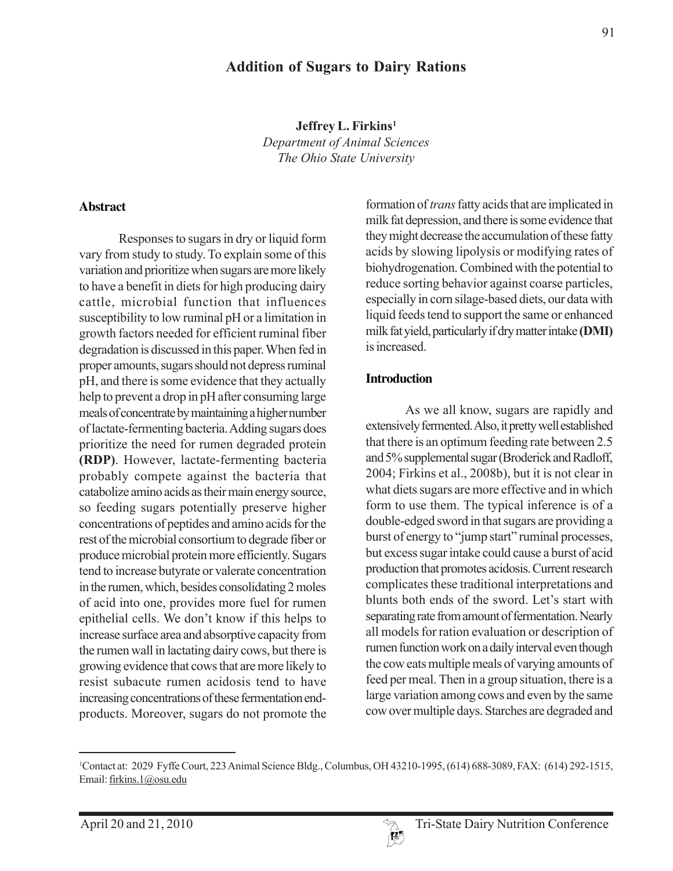## **Addition of Sugars to Dairy Rations**

**Jeffrey L. Firkins1** *Department of Animal Sciences The Ohio State University*

#### **Abstract**

Responses to sugars in dry or liquid form vary from study to study. To explain some of this variation and prioritize when sugars are more likely to have a benefit in diets for high producing dairy cattle, microbial function that influences susceptibility to low ruminal pH or a limitation in growth factors needed for efficient ruminal fiber degradation is discussed in this paper. When fed in proper amounts, sugars should not depress ruminal pH, and there is some evidence that they actually help to prevent a drop in pH after consuming large meals of concentrate by maintaining a higher number of lactate-fermenting bacteria. Adding sugars does prioritize the need for rumen degraded protein **(RDP)**. However, lactate-fermenting bacteria probably compete against the bacteria that catabolize amino acids as their main energy source, so feeding sugars potentially preserve higher concentrations of peptides and amino acids for the rest of the microbial consortium to degrade fiber or produce microbial protein more efficiently. Sugars tend to increase butyrate or valerate concentration in the rumen, which, besides consolidating 2 moles of acid into one, provides more fuel for rumen epithelial cells. We don't know if this helps to increase surface area and absorptive capacity from the rumen wall in lactating dairy cows, but there is growing evidence that cows that are more likely to resist subacute rumen acidosis tend to have increasing concentrations of these fermentation endproducts. Moreover, sugars do not promote the

formation of *trans* fatty acids that are implicated in milk fat depression, and there is some evidence that they might decrease the accumulation of these fatty acids by slowing lipolysis or modifying rates of biohydrogenation. Combined with the potential to reduce sorting behavior against coarse particles, especially in corn silage-based diets, our data with liquid feeds tend to support the same or enhanced milk fat yield, particularly if dry matter intake **(DMI)** is increased.

#### **Introduction**

As we all know, sugars are rapidly and extensively fermented. Also, it pretty well established that there is an optimum feeding rate between 2.5 and 5% supplemental sugar (Broderick and Radloff, 2004; Firkins et al., 2008b), but it is not clear in what diets sugars are more effective and in which form to use them. The typical inference is of a double-edged sword in that sugars are providing a burst of energy to "jump start" ruminal processes, but excess sugar intake could cause a burst of acid production that promotes acidosis. Current research complicates these traditional interpretations and blunts both ends of the sword. Let's start with separating rate from amount of fermentation. Nearly all models for ration evaluation or description of rumen function work on a daily interval even though the cow eats multiple meals of varying amounts of feed per meal. Then in a group situation, there is a large variation among cows and even by the same cow over multiple days. Starches are degraded and

<sup>1</sup> Contact at: 2029 Fyffe Court, 223 Animal Science Bldg., Columbus, OH 43210-1995, (614) 688-3089, FAX: (614) 292-1515, Email: firkins.1@osu.edu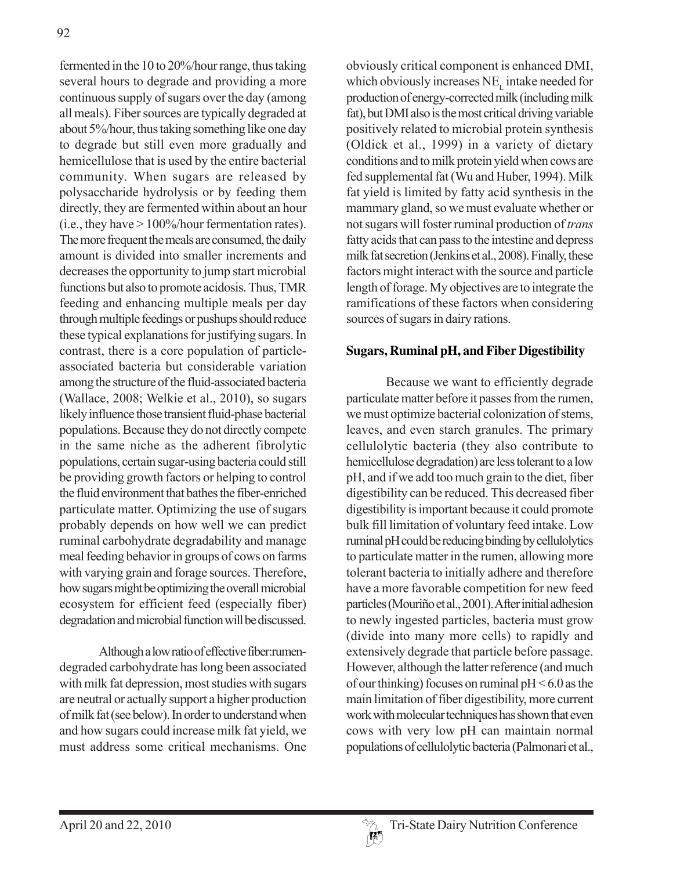fermented in the 10 to 20%/hour range, thus taking several hours to degrade and providing a more continuous supply of sugars over the day (among all meals). Fiber sources are typically degraded at about 5%/hour, thus taking something like one day to degrade but still even more gradually and hemicellulose that is used by the entire bacterial community. When sugars are released by polysaccharide hydrolysis or by feeding them directly, they are fermented within about an hour (i.e., they have > 100%/hour fermentation rates). The more frequent the meals are consumed, the daily amount is divided into smaller increments and decreases the opportunity to jump start microbial functions but also to promote acidosis. Thus, TMR feeding and enhancing multiple meals per day through multiple feedings or pushups should reduce these typical explanations for justifying sugars. In contrast, there is a core population of particleassociated bacteria but considerable variation among the structure of the fluid-associated bacteria (Wallace, 2008; Welkie et al., 2010), so sugars likely influence those transient fluid-phase bacterial populations. Because they do not directly compete in the same niche as the adherent fibrolytic populations, certain sugar-using bacteria could still be providing growth factors or helping to control the fluid environment that bathes the fiber-enriched particulate matter. Optimizing the use of sugars probably depends on how well we can predict ruminal carbohydrate degradability and manage meal feeding behavior in groups of cows on farms with varying grain and forage sources. Therefore, how sugars might be optimizing the overall microbial ecosystem for efficient feed (especially fiber) degradation and microbial function will be discussed.

Although a low ratio of effective fiber:rumendegraded carbohydrate has long been associated with milk fat depression, most studies with sugars are neutral or actually support a higher production of milk fat (see below). In order to understand when and how sugars could increase milk fat yield, we must address some critical mechanisms. One obviously critical component is enhanced DMI, which obviously increases  $NE$ <sub>r</sub> intake needed for production of energy-corrected milk (including milk fat), but DMI also is the most critical driving variable positively related to microbial protein synthesis (Oldick et al., 1999) in a variety of dietary conditions and to milk protein yield when cows are fed supplemental fat (Wu and Huber, 1994). Milk fat yield is limited by fatty acid synthesis in the mammary gland, so we must evaluate whether or not sugars will foster ruminal production of *trans* fatty acids that can pass to the intestine and depress milk fat secretion (Jenkins et al., 2008). Finally, these factors might interact with the source and particle length of forage. My objectives are to integrate the ramifications of these factors when considering sources of sugars in dairy rations.

# **Sugars, Ruminal pH, and Fiber Digestibility**

Because we want to efficiently degrade particulate matter before it passes from the rumen, we must optimize bacterial colonization of stems, leaves, and even starch granules. The primary cellulolytic bacteria (they also contribute to hemicellulose degradation) are less tolerant to a low pH, and if we add too much grain to the diet, fiber digestibility can be reduced. This decreased fiber digestibility is important because it could promote bulk fill limitation of voluntary feed intake. Low ruminal pH could be reducing binding by cellulolytics to particulate matter in the rumen, allowing more tolerant bacteria to initially adhere and therefore have a more favorable competition for new feed particles (Mouriño et al., 2001). After initial adhesion to newly ingested particles, bacteria must grow (divide into many more cells) to rapidly and extensively degrade that particle before passage. However, although the latter reference (and much of our thinking) focuses on ruminal pH < 6.0 as the main limitation of fiber digestibility, more current work with molecular techniques has shown that even cows with very low pH can maintain normal populations of cellulolytic bacteria (Palmonari et al.,

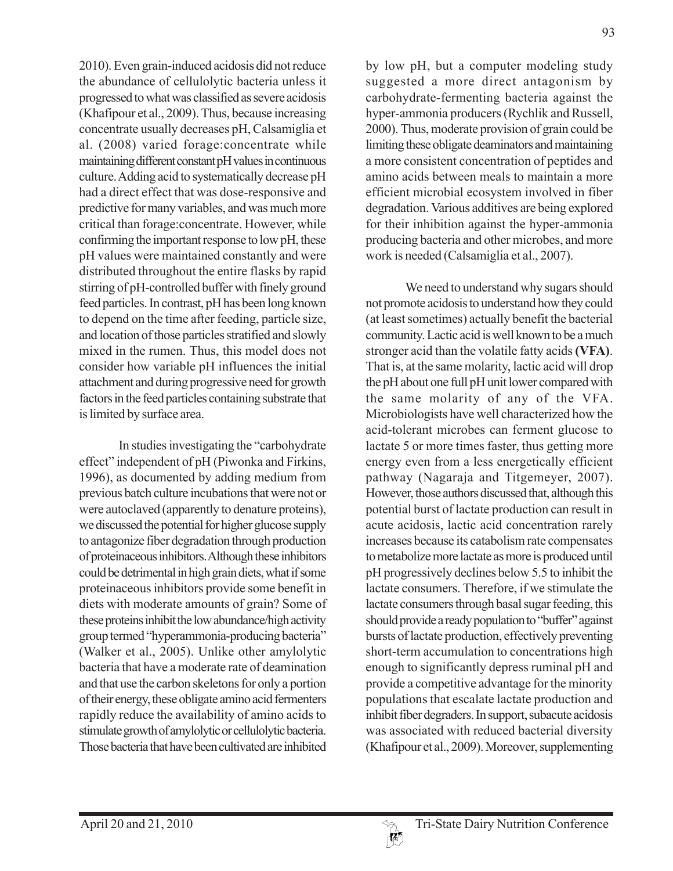2010). Even grain-induced acidosis did not reduce the abundance of cellulolytic bacteria unless it progressed to what was classified as severe acidosis (Khafipour et al., 2009). Thus, because increasing concentrate usually decreases pH, Calsamiglia et al. (2008) varied forage:concentrate while maintaining different constant pH values in continuous culture. Adding acid to systematically decrease pH had a direct effect that was dose-responsive and predictive for many variables, and was much more critical than forage:concentrate. However, while confirming the important response to low pH, these pH values were maintained constantly and were distributed throughout the entire flasks by rapid stirring of pH-controlled buffer with finely ground feed particles. In contrast, pH has been long known to depend on the time after feeding, particle size, and location of those particles stratified and slowly mixed in the rumen. Thus, this model does not consider how variable pH influences the initial attachment and during progressive need for growth factors in the feed particles containing substrate that is limited by surface area.

In studies investigating the "carbohydrate effect" independent of pH (Piwonka and Firkins, 1996), as documented by adding medium from previous batch culture incubations that were not or were autoclaved (apparently to denature proteins), we discussed the potential for higher glucose supply to antagonize fiber degradation through production of proteinaceous inhibitors. Although these inhibitors could be detrimental in high grain diets, what if some proteinaceous inhibitors provide some benefit in diets with moderate amounts of grain? Some of these proteins inhibit the low abundance/high activity group termed "hyperammonia-producing bacteria" (Walker et al., 2005). Unlike other amylolytic bacteria that have a moderate rate of deamination and that use the carbon skeletons for only a portion of their energy, these obligate amino acid fermenters rapidly reduce the availability of amino acids to stimulate growth of amylolytic or cellulolytic bacteria. Those bacteria that have been cultivated are inhibited

by low pH, but a computer modeling study suggested a more direct antagonism by carbohydrate-fermenting bacteria against the hyper-ammonia producers (Rychlik and Russell, 2000). Thus, moderate provision of grain could be limiting these obligate deaminators and maintaining a more consistent concentration of peptides and amino acids between meals to maintain a more efficient microbial ecosystem involved in fiber degradation. Various additives are being explored for their inhibition against the hyper-ammonia producing bacteria and other microbes, and more work is needed (Calsamiglia et al., 2007).

We need to understand why sugars should not promote acidosis to understand how they could (at least sometimes) actually benefit the bacterial community. Lactic acid is well known to be a much stronger acid than the volatile fatty acids **(VFA)**. That is, at the same molarity, lactic acid will drop the pH about one full pH unit lower compared with the same molarity of any of the VFA. Microbiologists have well characterized how the acid-tolerant microbes can ferment glucose to lactate 5 or more times faster, thus getting more energy even from a less energetically efficient pathway (Nagaraja and Titgemeyer, 2007). However, those authors discussed that, although this potential burst of lactate production can result in acute acidosis, lactic acid concentration rarely increases because its catabolism rate compensates to metabolize more lactate as more is produced until pH progressively declines below 5.5 to inhibit the lactate consumers. Therefore, if we stimulate the lactate consumers through basal sugar feeding, this should provide a ready population to "buffer" against bursts of lactate production, effectively preventing short-term accumulation to concentrations high enough to significantly depress ruminal pH and provide a competitive advantage for the minority populations that escalate lactate production and inhibit fiber degraders. In support, subacute acidosis was associated with reduced bacterial diversity (Khafipour et al., 2009). Moreover, supplementing

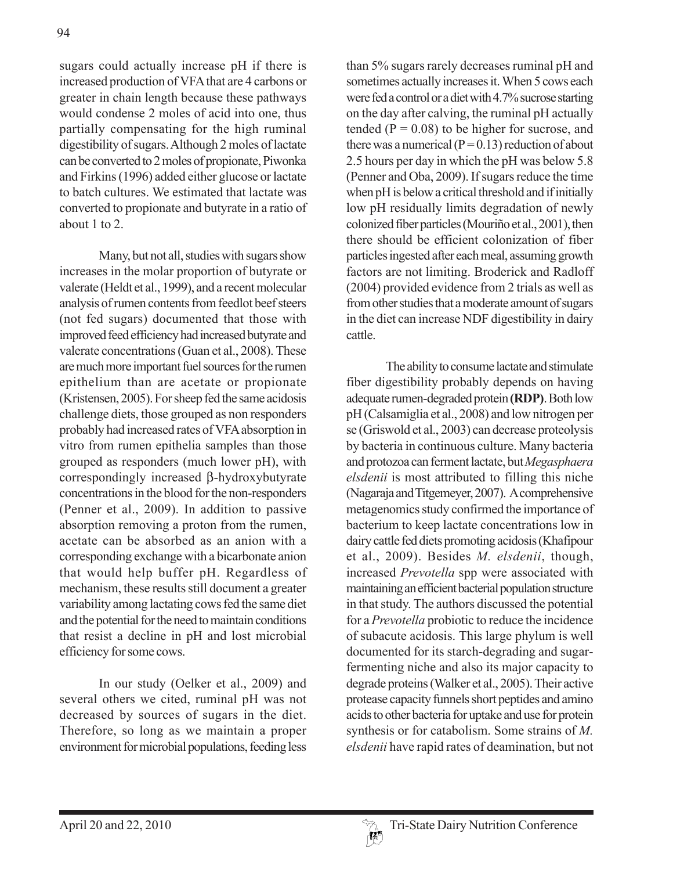sugars could actually increase pH if there is increased production of VFA that are 4 carbons or greater in chain length because these pathways would condense 2 moles of acid into one, thus partially compensating for the high ruminal digestibility of sugars. Although 2 moles of lactate can be converted to 2 moles of propionate, Piwonka and Firkins (1996) added either glucose or lactate to batch cultures. We estimated that lactate was converted to propionate and butyrate in a ratio of about 1 to 2.

Many, but not all, studies with sugars show increases in the molar proportion of butyrate or valerate (Heldt et al., 1999), and a recent molecular analysis of rumen contents from feedlot beef steers (not fed sugars) documented that those with improved feed efficiency had increased butyrate and valerate concentrations (Guan et al., 2008). These are much more important fuel sources for the rumen epithelium than are acetate or propionate (Kristensen, 2005). For sheep fed the same acidosis challenge diets, those grouped as non responders probably had increased rates of VFA absorption in vitro from rumen epithelia samples than those grouped as responders (much lower pH), with correspondingly increased β-hydroxybutyrate concentrations in the blood for the non-responders (Penner et al., 2009). In addition to passive absorption removing a proton from the rumen, acetate can be absorbed as an anion with a corresponding exchange with a bicarbonate anion that would help buffer pH. Regardless of mechanism, these results still document a greater variability among lactating cows fed the same diet and the potential for the need to maintain conditions that resist a decline in pH and lost microbial efficiency for some cows.

In our study (Oelker et al., 2009) and several others we cited, ruminal pH was not decreased by sources of sugars in the diet. Therefore, so long as we maintain a proper environment for microbial populations, feeding less

than 5% sugars rarely decreases ruminal pH and sometimes actually increases it. When 5 cows each were fed a control or a diet with 4.7% sucrose starting on the day after calving, the ruminal pH actually tended ( $P = 0.08$ ) to be higher for sucrose, and there was a numerical  $(P = 0.13)$  reduction of about 2.5 hours per day in which the pH was below 5.8 (Penner and Oba, 2009). If sugars reduce the time when pH is below a critical threshold and if initially low pH residually limits degradation of newly colonized fiber particles (Mouriño et al., 2001), then there should be efficient colonization of fiber particles ingested after each meal, assuming growth factors are not limiting. Broderick and Radloff (2004) provided evidence from 2 trials as well as from other studies that a moderate amount of sugars in the diet can increase NDF digestibility in dairy cattle.

The ability to consume lactate and stimulate fiber digestibility probably depends on having adequate rumen-degraded protein **(RDP)**. Both low pH (Calsamiglia et al., 2008) and low nitrogen per se (Griswold et al., 2003) can decrease proteolysis by bacteria in continuous culture. Many bacteria and protozoa can ferment lactate, but *Megasphaera elsdenii* is most attributed to filling this niche (Nagaraja and Titgemeyer, 2007). A comprehensive metagenomics study confirmed the importance of bacterium to keep lactate concentrations low in dairy cattle fed diets promoting acidosis (Khafipour et al., 2009). Besides *M. elsdenii*, though, increased *Prevotella* spp were associated with maintaining an efficient bacterial population structure in that study. The authors discussed the potential for a *Prevotella* probiotic to reduce the incidence of subacute acidosis. This large phylum is well documented for its starch-degrading and sugarfermenting niche and also its major capacity to degrade proteins (Walker et al., 2005). Their active protease capacity funnels short peptides and amino acids to other bacteria for uptake and use for protein synthesis or for catabolism. Some strains of *M. elsdenii* have rapid rates of deamination, but not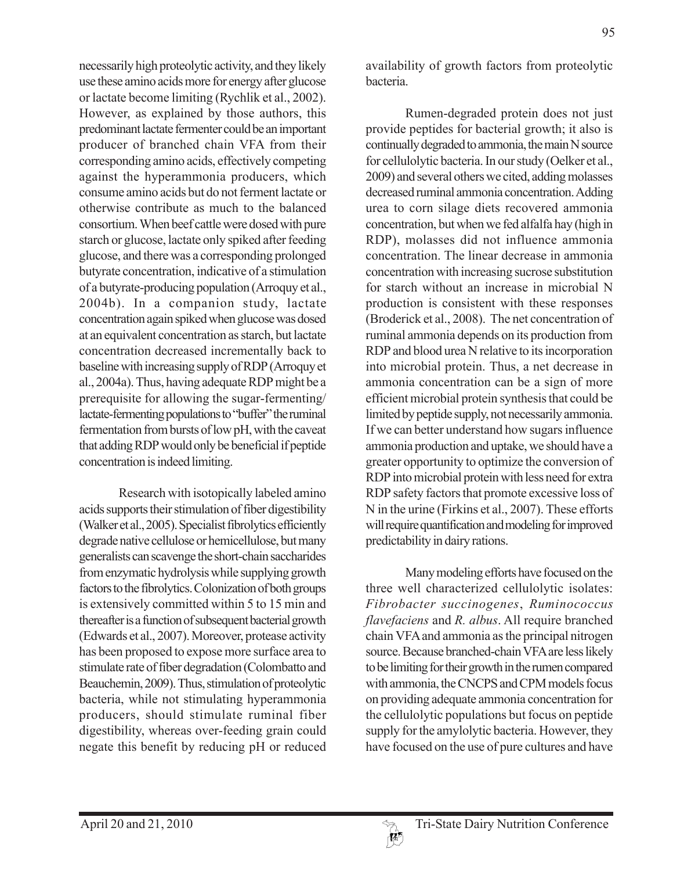necessarily high proteolytic activity, and they likely use these amino acids more for energy after glucose or lactate become limiting (Rychlik et al., 2002). However, as explained by those authors, this predominant lactate fermenter could be an important producer of branched chain VFA from their corresponding amino acids, effectively competing against the hyperammonia producers, which consume amino acids but do not ferment lactate or otherwise contribute as much to the balanced consortium. When beef cattle were dosed with pure starch or glucose, lactate only spiked after feeding glucose, and there was a corresponding prolonged butyrate concentration, indicative of a stimulation of a butyrate-producing population (Arroquy et al., 2004b). In a companion study, lactate concentration again spiked when glucose was dosed at an equivalent concentration as starch, but lactate concentration decreased incrementally back to baseline with increasing supply of RDP (Arroquy et al., 2004a). Thus, having adequate RDP might be a prerequisite for allowing the sugar-fermenting/ lactate-fermenting populations to "buffer" the ruminal fermentation from bursts of low pH, with the caveat that adding RDP would only be beneficial if peptide concentration is indeed limiting.

Research with isotopically labeled amino acids supports their stimulation of fiber digestibility (Walker et al., 2005). Specialist fibrolytics efficiently degrade native cellulose or hemicellulose, but many generalists can scavenge the short-chain saccharides from enzymatic hydrolysis while supplying growth factors to the fibrolytics. Colonization of both groups is extensively committed within 5 to 15 min and thereafter is a function of subsequent bacterial growth (Edwards et al., 2007). Moreover, protease activity has been proposed to expose more surface area to stimulate rate of fiber degradation (Colombatto and Beauchemin, 2009). Thus, stimulation of proteolytic bacteria, while not stimulating hyperammonia producers, should stimulate ruminal fiber digestibility, whereas over-feeding grain could negate this benefit by reducing pH or reduced

availability of growth factors from proteolytic bacteria.

Rumen-degraded protein does not just provide peptides for bacterial growth; it also is continually degraded to ammonia, the main N source for cellulolytic bacteria. In our study (Oelker et al., 2009) and several others we cited, adding molasses decreased ruminal ammonia concentration. Adding urea to corn silage diets recovered ammonia concentration, but when we fed alfalfa hay (high in RDP), molasses did not influence ammonia concentration. The linear decrease in ammonia concentration with increasing sucrose substitution for starch without an increase in microbial N production is consistent with these responses (Broderick et al., 2008). The net concentration of ruminal ammonia depends on its production from RDP and blood urea N relative to its incorporation into microbial protein. Thus, a net decrease in ammonia concentration can be a sign of more efficient microbial protein synthesis that could be limited by peptide supply, not necessarily ammonia. If we can better understand how sugars influence ammonia production and uptake, we should have a greater opportunity to optimize the conversion of RDP into microbial protein with less need for extra RDP safety factors that promote excessive loss of N in the urine (Firkins et al., 2007). These efforts will require quantification and modeling for improved predictability in dairy rations.

Many modeling efforts have focused on the three well characterized cellulolytic isolates: *Fibrobacter succinogenes*, *Ruminococcus flavefaciens* and *R. albus*. All require branched chain VFA and ammonia as the principal nitrogen source. Because branched-chain VFA are less likely to be limiting for their growth in the rumen compared with ammonia, the CNCPS and CPM models focus on providing adequate ammonia concentration for the cellulolytic populations but focus on peptide supply for the amylolytic bacteria. However, they have focused on the use of pure cultures and have

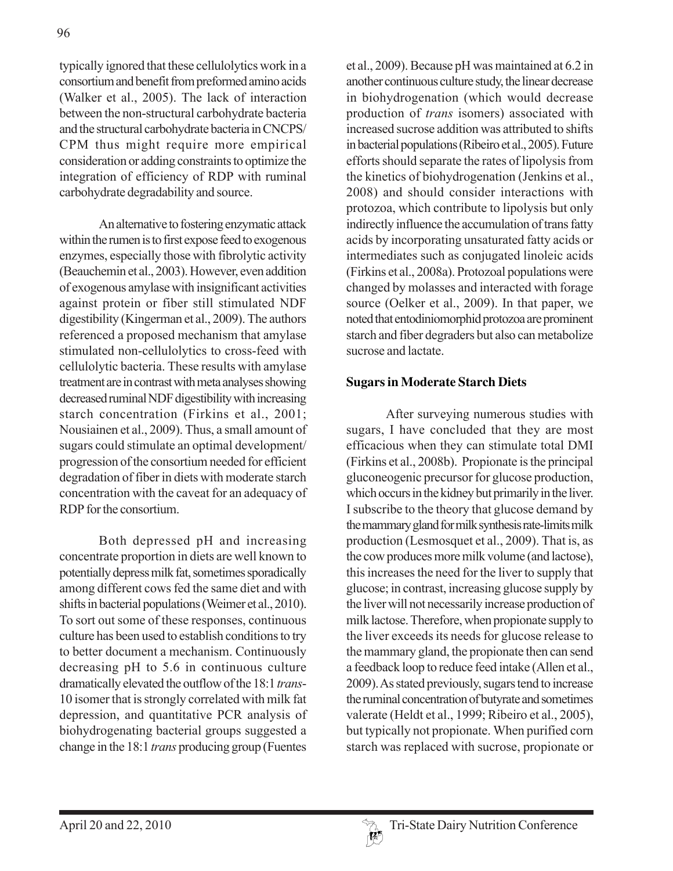typically ignored that these cellulolytics work in a consortium and benefit from preformed amino acids (Walker et al., 2005). The lack of interaction between the non-structural carbohydrate bacteria and the structural carbohydrate bacteria in CNCPS/ CPM thus might require more empirical consideration or adding constraints to optimize the integration of efficiency of RDP with ruminal carbohydrate degradability and source.

An alternative to fostering enzymatic attack within the rumen is to first expose feed to exogenous enzymes, especially those with fibrolytic activity (Beauchemin et al., 2003). However, even addition of exogenous amylase with insignificant activities against protein or fiber still stimulated NDF digestibility (Kingerman et al., 2009). The authors referenced a proposed mechanism that amylase stimulated non-cellulolytics to cross-feed with cellulolytic bacteria. These results with amylase treatment are in contrast with meta analyses showing decreased ruminal NDF digestibility with increasing starch concentration (Firkins et al., 2001; Nousiainen et al., 2009). Thus, a small amount of sugars could stimulate an optimal development/ progression of the consortium needed for efficient degradation of fiber in diets with moderate starch concentration with the caveat for an adequacy of RDP for the consortium.

Both depressed pH and increasing concentrate proportion in diets are well known to potentially depress milk fat, sometimes sporadically among different cows fed the same diet and with shifts in bacterial populations (Weimer et al., 2010). To sort out some of these responses, continuous culture has been used to establish conditions to try to better document a mechanism. Continuously decreasing pH to 5.6 in continuous culture dramatically elevated the outflow of the 18:1 *trans*-10 isomer that is strongly correlated with milk fat depression, and quantitative PCR analysis of biohydrogenating bacterial groups suggested a change in the 18:1 *trans* producing group (Fuentes

et al., 2009). Because pH was maintained at 6.2 in another continuous culture study, the linear decrease in biohydrogenation (which would decrease production of *trans* isomers) associated with increased sucrose addition was attributed to shifts in bacterial populations (Ribeiro et al., 2005). Future efforts should separate the rates of lipolysis from the kinetics of biohydrogenation (Jenkins et al., 2008) and should consider interactions with protozoa, which contribute to lipolysis but only indirectly influence the accumulation of trans fatty acids by incorporating unsaturated fatty acids or intermediates such as conjugated linoleic acids (Firkins et al., 2008a). Protozoal populations were changed by molasses and interacted with forage source (Oelker et al., 2009). In that paper, we noted that entodiniomorphid protozoa are prominent starch and fiber degraders but also can metabolize sucrose and lactate.

## **Sugars in Moderate Starch Diets**

After surveying numerous studies with sugars, I have concluded that they are most efficacious when they can stimulate total DMI (Firkins et al., 2008b). Propionate is the principal gluconeogenic precursor for glucose production, which occurs in the kidney but primarily in the liver. I subscribe to the theory that glucose demand by the mammary gland for milk synthesis rate-limits milk production (Lesmosquet et al., 2009). That is, as the cow produces more milk volume (and lactose), this increases the need for the liver to supply that glucose; in contrast, increasing glucose supply by the liver will not necessarily increase production of milk lactose. Therefore, when propionate supply to the liver exceeds its needs for glucose release to the mammary gland, the propionate then can send a feedback loop to reduce feed intake (Allen et al., 2009). As stated previously, sugars tend to increase the ruminal concentration of butyrate and sometimes valerate (Heldt et al., 1999; Ribeiro et al., 2005), but typically not propionate. When purified corn starch was replaced with sucrose, propionate or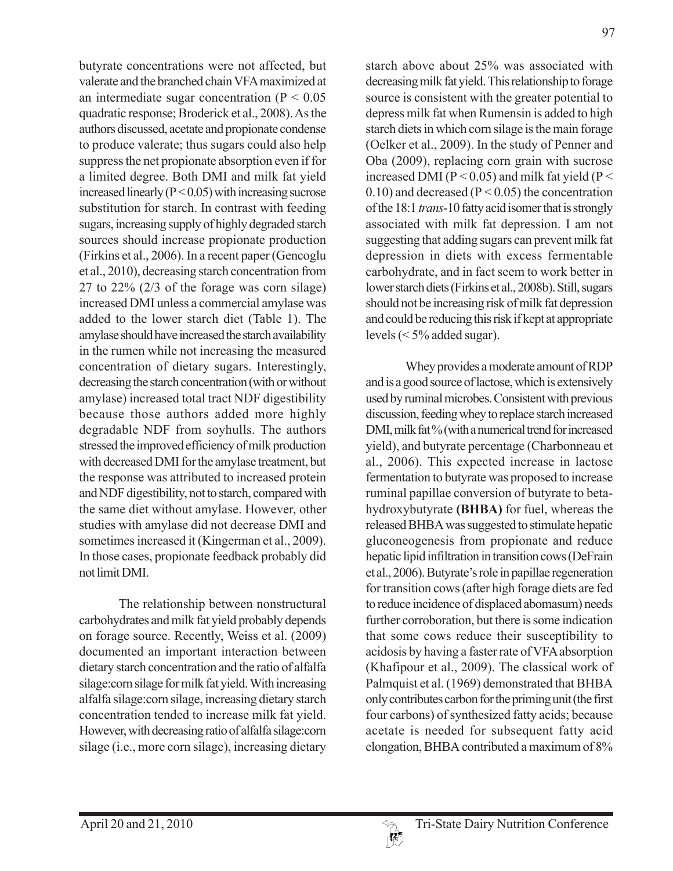butyrate concentrations were not affected, but valerate and the branched chain VFA maximized at an intermediate sugar concentration ( $P < 0.05$ ) quadratic response; Broderick et al., 2008). As the authors discussed, acetate and propionate condense to produce valerate; thus sugars could also help suppress the net propionate absorption even if for a limited degree. Both DMI and milk fat yield increased linearly  $(P < 0.05)$  with increasing sucrose substitution for starch. In contrast with feeding sugars, increasing supply of highly degraded starch sources should increase propionate production (Firkins et al., 2006). In a recent paper (Gencoglu et al., 2010), decreasing starch concentration from 27 to 22% (2/3 of the forage was corn silage) increased DMI unless a commercial amylase was added to the lower starch diet (Table 1). The amylase should have increased the starch availability in the rumen while not increasing the measured concentration of dietary sugars. Interestingly, decreasing the starch concentration (with or without amylase) increased total tract NDF digestibility because those authors added more highly degradable NDF from soyhulls. The authors stressed the improved efficiency of milk production with decreased DMI for the amylase treatment, but the response was attributed to increased protein and NDF digestibility, not to starch, compared with the same diet without amylase. However, other studies with amylase did not decrease DMI and sometimes increased it (Kingerman et al., 2009). In those cases, propionate feedback probably did not limit DMI.

The relationship between nonstructural carbohydrates and milk fat yield probably depends on forage source. Recently, Weiss et al. (2009) documented an important interaction between dietary starch concentration and the ratio of alfalfa silage:corn silage for milk fat yield. With increasing alfalfa silage:corn silage, increasing dietary starch concentration tended to increase milk fat yield. However, with decreasing ratio of alfalfa silage:corn silage (i.e., more corn silage), increasing dietary

starch above about 25% was associated with decreasing milk fat yield. This relationship to forage source is consistent with the greater potential to depress milk fat when Rumensin is added to high starch diets in which corn silage is the main forage (Oelker et al., 2009). In the study of Penner and Oba (2009), replacing corn grain with sucrose increased DMI ( $P < 0.05$ ) and milk fat yield ( $P <$  $(0.10)$  and decreased (P < 0.05) the concentration of the 18:1 *trans*-10 fatty acid isomer that is strongly associated with milk fat depression. I am not suggesting that adding sugars can prevent milk fat depression in diets with excess fermentable carbohydrate, and in fact seem to work better in lower starch diets (Firkins et al., 2008b). Still, sugars should not be increasing risk of milk fat depression and could be reducing this risk if kept at appropriate levels (< 5% added sugar).

Whey provides a moderate amount of RDP and is a good source of lactose, which is extensively used by ruminal microbes. Consistent with previous discussion, feeding whey to replace starch increased DMI, milk fat % (with a numerical trend for increased yield), and butyrate percentage (Charbonneau et al., 2006). This expected increase in lactose fermentation to butyrate was proposed to increase ruminal papillae conversion of butyrate to betahydroxybutyrate **(BHBA)** for fuel, whereas the released BHBA was suggested to stimulate hepatic gluconeogenesis from propionate and reduce hepatic lipid infiltration in transition cows (DeFrain et al., 2006). Butyrate's role in papillae regeneration for transition cows (after high forage diets are fed to reduce incidence of displaced abomasum) needs further corroboration, but there is some indication that some cows reduce their susceptibility to acidosis by having a faster rate of VFA absorption (Khafipour et al., 2009). The classical work of Palmquist et al. (1969) demonstrated that BHBA only contributes carbon for the priming unit (the first four carbons) of synthesized fatty acids; because acetate is needed for subsequent fatty acid elongation, BHBA contributed a maximum of 8%

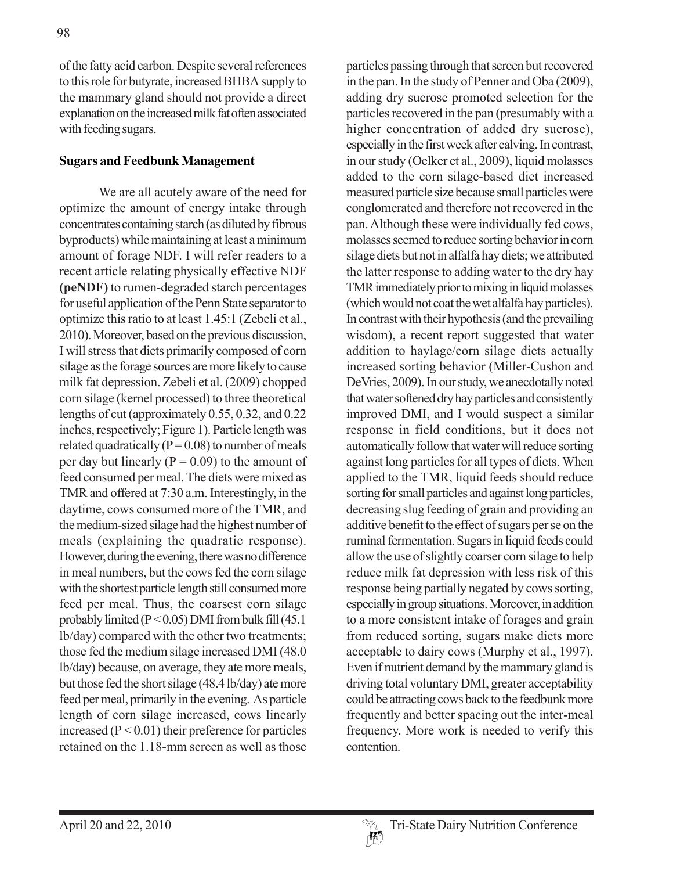of the fatty acid carbon. Despite several references to this role for butyrate, increased BHBA supply to the mammary gland should not provide a direct explanation on the increased milk fat often associated with feeding sugars.

### **Sugars and Feedbunk Management**

We are all acutely aware of the need for optimize the amount of energy intake through concentrates containing starch (as diluted by fibrous byproducts) while maintaining at least a minimum amount of forage NDF. I will refer readers to a recent article relating physically effective NDF **(peNDF)** to rumen-degraded starch percentages for useful application of the Penn State separator to optimize this ratio to at least 1.45:1 (Zebeli et al., 2010). Moreover, based on the previous discussion, I will stress that diets primarily composed of corn silage as the forage sources are more likely to cause milk fat depression. Zebeli et al. (2009) chopped corn silage (kernel processed) to three theoretical lengths of cut (approximately 0.55, 0.32, and 0.22 inches, respectively; Figure 1). Particle length was related quadratically ( $P = 0.08$ ) to number of meals per day but linearly ( $P = 0.09$ ) to the amount of feed consumed per meal. The diets were mixed as TMR and offered at 7:30 a.m. Interestingly, in the daytime, cows consumed more of the TMR, and the medium-sized silage had the highest number of meals (explaining the quadratic response). However, during the evening, there was no difference in meal numbers, but the cows fed the corn silage with the shortest particle length still consumed more feed per meal. Thus, the coarsest corn silage probably limited ( $P < 0.05$ ) DMI from bulk fill (45.1) lb/day) compared with the other two treatments; those fed the medium silage increased DMI (48.0 lb/day) because, on average, they ate more meals, but those fed the short silage (48.4 lb/day) ate more feed per meal, primarily in the evening. As particle length of corn silage increased, cows linearly increased  $(P < 0.01)$  their preference for particles retained on the 1.18-mm screen as well as those

particles passing through that screen but recovered in the pan. In the study of Penner and Oba (2009), adding dry sucrose promoted selection for the particles recovered in the pan (presumably with a higher concentration of added dry sucrose), especially in the first week after calving. In contrast, in our study (Oelker et al., 2009), liquid molasses added to the corn silage-based diet increased measured particle size because small particles were conglomerated and therefore not recovered in the pan. Although these were individually fed cows, molasses seemed to reduce sorting behavior in corn silage diets but not in alfalfa hay diets; we attributed the latter response to adding water to the dry hay TMR immediately prior to mixing in liquid molasses (which would not coat the wet alfalfa hay particles). In contrast with their hypothesis (and the prevailing wisdom), a recent report suggested that water addition to haylage/corn silage diets actually increased sorting behavior (Miller-Cushon and DeVries, 2009). In our study, we anecdotally noted that water softened dry hay particles and consistently improved DMI, and I would suspect a similar response in field conditions, but it does not automatically follow that water will reduce sorting against long particles for all types of diets. When applied to the TMR, liquid feeds should reduce sorting for small particles and against long particles, decreasing slug feeding of grain and providing an additive benefit to the effect of sugars per se on the ruminal fermentation. Sugars in liquid feeds could allow the use of slightly coarser corn silage to help reduce milk fat depression with less risk of this response being partially negated by cows sorting, especially in group situations. Moreover, in addition to a more consistent intake of forages and grain from reduced sorting, sugars make diets more acceptable to dairy cows (Murphy et al., 1997). Even if nutrient demand by the mammary gland is driving total voluntary DMI, greater acceptability could be attracting cows back to the feedbunk more frequently and better spacing out the inter-meal frequency. More work is needed to verify this contention.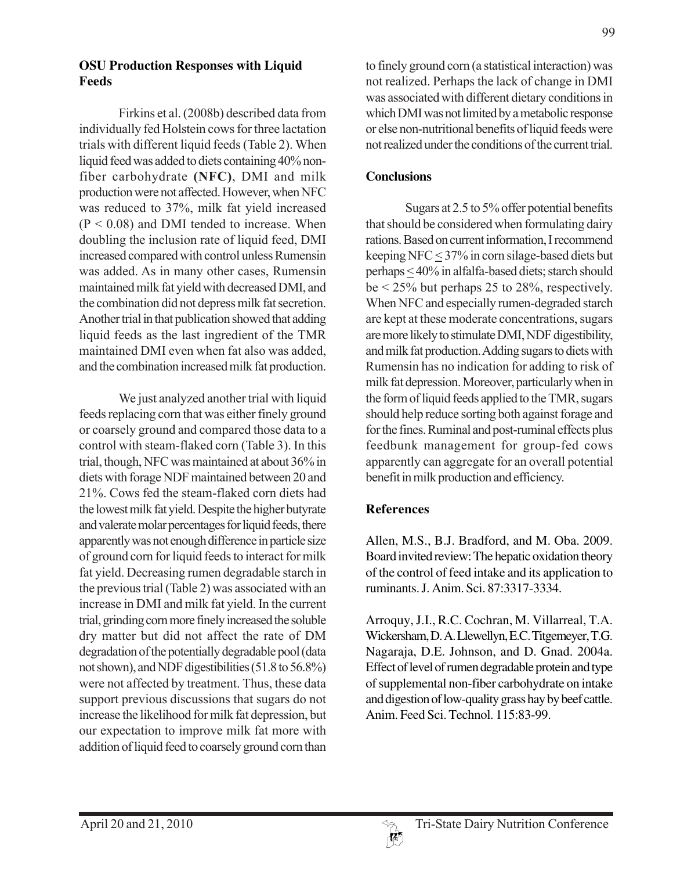#### **OSU Production Responses with Liquid Feeds**

Firkins et al. (2008b) described data from individually fed Holstein cows for three lactation trials with different liquid feeds (Table 2). When liquid feed was added to diets containing 40% nonfiber carbohydrate **(NFC)**, DMI and milk production were not affected. However, when NFC was reduced to 37%, milk fat yield increased  $(P < 0.08)$  and DMI tended to increase. When doubling the inclusion rate of liquid feed, DMI increased compared with control unless Rumensin was added. As in many other cases, Rumensin maintained milk fat yield with decreased DMI, and the combination did not depress milk fat secretion. Another trial in that publication showed that adding liquid feeds as the last ingredient of the TMR maintained DMI even when fat also was added, and the combination increased milk fat production.

We just analyzed another trial with liquid feeds replacing corn that was either finely ground or coarsely ground and compared those data to a control with steam-flaked corn (Table 3). In this trial, though, NFC was maintained at about 36% in diets with forage NDF maintained between 20 and 21%. Cows fed the steam-flaked corn diets had the lowest milk fat yield. Despite the higher butyrate and valerate molar percentages for liquid feeds, there apparently was not enough difference in particle size of ground corn for liquid feeds to interact for milk fat yield. Decreasing rumen degradable starch in the previous trial (Table 2) was associated with an increase in DMI and milk fat yield. In the current trial, grinding corn more finely increased the soluble dry matter but did not affect the rate of DM degradation of the potentially degradable pool (data not shown), and NDF digestibilities (51.8 to 56.8%) were not affected by treatment. Thus, these data support previous discussions that sugars do not increase the likelihood for milk fat depression, but our expectation to improve milk fat more with addition of liquid feed to coarsely ground corn than

to finely ground corn (a statistical interaction) was not realized. Perhaps the lack of change in DMI was associated with different dietary conditions in which DMI was not limited by a metabolic response or else non-nutritional benefits of liquid feeds were not realized under the conditions of the current trial.

## **Conclusions**

Sugars at 2.5 to 5% offer potential benefits that should be considered when formulating dairy rations. Based on current information, I recommend keeping NFC  $\leq$  37% in corn silage-based diets but perhaps < 40% in alfalfa-based diets; starch should be < 25% but perhaps 25 to 28%, respectively. When NFC and especially rumen-degraded starch are kept at these moderate concentrations, sugars are more likely to stimulate DMI, NDF digestibility, and milk fat production. Adding sugars to diets with Rumensin has no indication for adding to risk of milk fat depression. Moreover, particularly when in the form of liquid feeds applied to the TMR, sugars should help reduce sorting both against forage and for the fines. Ruminal and post-ruminal effects plus feedbunk management for group-fed cows apparently can aggregate for an overall potential benefit in milk production and efficiency.

# **References**

Allen, M.S., B.J. Bradford, and M. Oba. 2009. Board invited review: The hepatic oxidation theory of the control of feed intake and its application to ruminants. J. Anim. Sci. 87:3317-3334.

Arroquy, J.I., R.C. Cochran, M. Villarreal, T.A. Wickersham, D. A. Llewellyn, E.C. Titgemeyer, T.G. Nagaraja, D.E. Johnson, and D. Gnad. 2004a. Effect of level of rumen degradable protein and type of supplemental non-fiber carbohydrate on intake and digestion of low-quality grass hay by beef cattle. Anim. Feed Sci. Technol. 115:83-99.

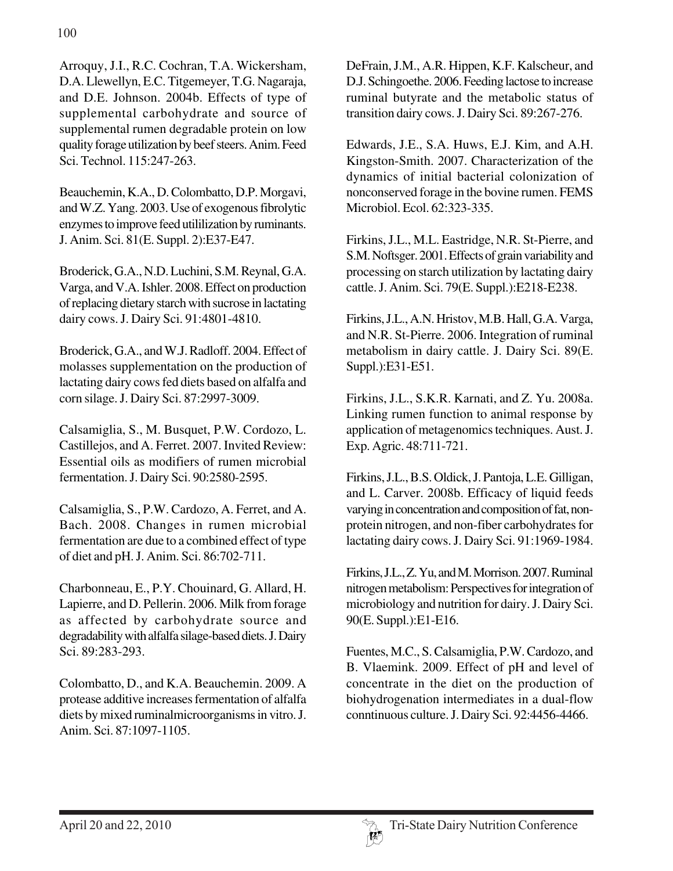Arroquy, J.I., R.C. Cochran, T.A. Wickersham, D.A. Llewellyn, E.C. Titgemeyer, T.G. Nagaraja, and D.E. Johnson. 2004b. Effects of type of supplemental carbohydrate and source of supplemental rumen degradable protein on low quality forage utilization by beef steers. Anim. Feed Sci. Technol. 115:247-263.

Beauchemin, K.A., D. Colombatto, D.P. Morgavi, and W.Z. Yang. 2003. Use of exogenous fibrolytic enzymes to improve feed utililization by ruminants. J. Anim. Sci. 81(E. Suppl. 2):E37-E47.

Broderick, G.A., N.D. Luchini, S.M. Reynal, G.A. Varga, and V.A. Ishler. 2008. Effect on production of replacing dietary starch with sucrose in lactating dairy cows. J. Dairy Sci. 91:4801-4810.

Broderick, G.A., and W.J. Radloff. 2004. Effect of molasses supplementation on the production of lactating dairy cows fed diets based on alfalfa and corn silage. J. Dairy Sci. 87:2997-3009.

Calsamiglia, S., M. Busquet, P.W. Cordozo, L. Castillejos, and A. Ferret. 2007. Invited Review: Essential oils as modifiers of rumen microbial fermentation. J. Dairy Sci. 90:2580-2595.

Calsamiglia, S., P.W. Cardozo, A. Ferret, and A. Bach. 2008. Changes in rumen microbial fermentation are due to a combined effect of type of diet and pH. J. Anim. Sci. 86:702-711.

Charbonneau, E., P.Y. Chouinard, G. Allard, H. Lapierre, and D. Pellerin. 2006. Milk from forage as affected by carbohydrate source and degradability with alfalfa silage-based diets. J. Dairy Sci. 89:283-293.

Colombatto, D., and K.A. Beauchemin. 2009. A protease additive increases fermentation of alfalfa diets by mixed ruminalmicroorganisms in vitro. J. Anim. Sci. 87:1097-1105.

DeFrain, J.M., A.R. Hippen, K.F. Kalscheur, and D.J. Schingoethe. 2006. Feeding lactose to increase ruminal butyrate and the metabolic status of transition dairy cows. J. Dairy Sci. 89:267-276.

Edwards, J.E., S.A. Huws, E.J. Kim, and A.H. Kingston-Smith. 2007. Characterization of the dynamics of initial bacterial colonization of nonconserved forage in the bovine rumen. FEMS Microbiol. Ecol. 62:323-335.

Firkins, J.L., M.L. Eastridge, N.R. St-Pierre, and S.M. Noftsger. 2001. Effects of grain variability and processing on starch utilization by lactating dairy cattle. J. Anim. Sci. 79(E. Suppl.):E218-E238.

Firkins, J.L., A.N. Hristov, M.B. Hall, G.A. Varga, and N.R. St-Pierre. 2006. Integration of ruminal metabolism in dairy cattle. J. Dairy Sci. 89(E. Suppl.):E31-E51.

Firkins, J.L., S.K.R. Karnati, and Z. Yu. 2008a. Linking rumen function to animal response by application of metagenomics techniques. Aust. J. Exp. Agric. 48:711-721.

Firkins, J.L., B.S. Oldick, J. Pantoja, L.E. Gilligan, and L. Carver. 2008b. Efficacy of liquid feeds varying in concentration and composition of fat, nonprotein nitrogen, and non-fiber carbohydrates for lactating dairy cows. J. Dairy Sci. 91:1969-1984.

Firkins, J.L., Z. Yu, and M. Morrison. 2007. Ruminal nitrogen metabolism: Perspectives for integration of microbiology and nutrition for dairy. J. Dairy Sci. 90(E. Suppl.):E1-E16.

Fuentes, M.C., S. Calsamiglia, P.W. Cardozo, and B. Vlaemink. 2009. Effect of pH and level of concentrate in the diet on the production of biohydrogenation intermediates in a dual-flow conntinuous culture. J. Dairy Sci. 92:4456-4466.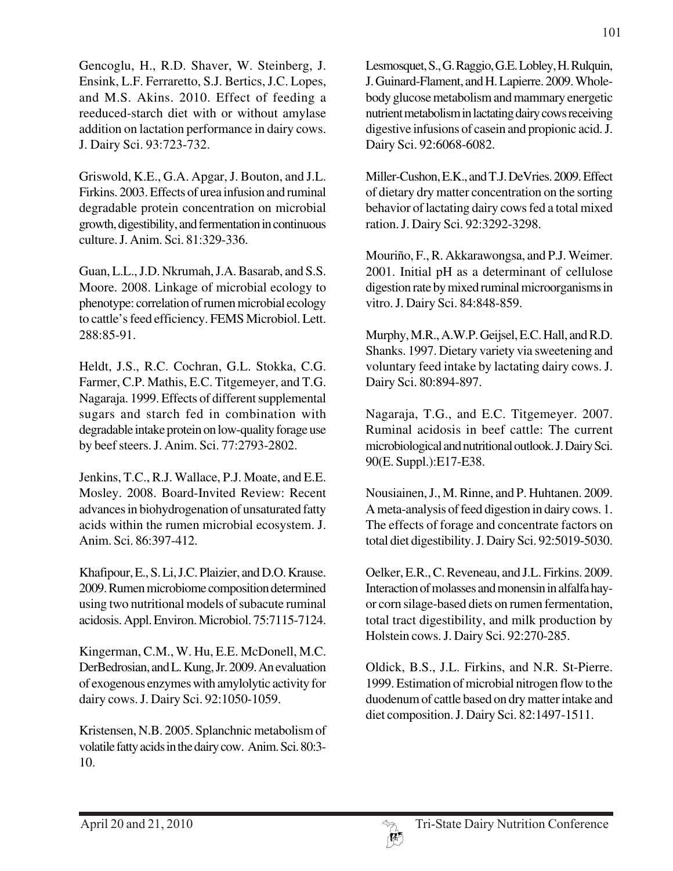Gencoglu, H., R.D. Shaver, W. Steinberg, J. Ensink, L.F. Ferraretto, S.J. Bertics, J.C. Lopes, and M.S. Akins. 2010. Effect of feeding a reeduced-starch diet with or without amylase addition on lactation performance in dairy cows. J. Dairy Sci. 93:723-732.

Griswold, K.E., G.A. Apgar, J. Bouton, and J.L. Firkins. 2003. Effects of urea infusion and ruminal degradable protein concentration on microbial growth, digestibility, and fermentation in continuous culture. J. Anim. Sci. 81:329-336.

Guan, L.L., J.D. Nkrumah, J.A. Basarab, and S.S. Moore. 2008. Linkage of microbial ecology to phenotype: correlation of rumen microbial ecology to cattle's feed efficiency. FEMS Microbiol. Lett. 288:85-91.

Heldt, J.S., R.C. Cochran, G.L. Stokka, C.G. Farmer, C.P. Mathis, E.C. Titgemeyer, and T.G. Nagaraja. 1999. Effects of different supplemental sugars and starch fed in combination with degradable intake protein on low-quality forage use by beef steers. J. Anim. Sci. 77:2793-2802.

Jenkins, T.C., R.J. Wallace, P.J. Moate, and E.E. Mosley. 2008. Board-Invited Review: Recent advances in biohydrogenation of unsaturated fatty acids within the rumen microbial ecosystem. J. Anim. Sci. 86:397-412.

Khafipour, E., S. Li, J.C. Plaizier, and D.O. Krause. 2009. Rumen microbiome composition determined using two nutritional models of subacute ruminal acidosis. Appl. Environ. Microbiol. 75:7115-7124.

Kingerman, C.M., W. Hu, E.E. McDonell, M.C. DerBedrosian, and L. Kung, Jr. 2009. An evaluation of exogenous enzymes with amylolytic activity for dairy cows. J. Dairy Sci. 92:1050-1059.

Kristensen, N.B. 2005. Splanchnic metabolism of volatile fatty acids in the dairy cow. Anim. Sci. 80:3- 10.

Lesmosquet, S., G. Raggio, G.E. Lobley, H. Rulquin, J. Guinard-Flament, and H. Lapierre. 2009. Wholebody glucose metabolism and mammary energetic nutrient metabolism in lactating dairy cows receiving digestive infusions of casein and propionic acid. J. Dairy Sci. 92:6068-6082.

Miller-Cushon, E.K., and T.J. DeVries. 2009. Effect of dietary dry matter concentration on the sorting behavior of lactating dairy cows fed a total mixed ration. J. Dairy Sci. 92:3292-3298.

Mouriño, F., R. Akkarawongsa, and P.J. Weimer. 2001. Initial pH as a determinant of cellulose digestion rate by mixed ruminal microorganisms in vitro. J. Dairy Sci. 84:848-859.

Murphy, M.R., A.W.P. Geijsel, E.C. Hall, and R.D. Shanks. 1997. Dietary variety via sweetening and voluntary feed intake by lactating dairy cows. J. Dairy Sci. 80:894-897.

Nagaraja, T.G., and E.C. Titgemeyer. 2007. Ruminal acidosis in beef cattle: The current microbiological and nutritional outlook. J. Dairy Sci. 90(E. Suppl.):E17-E38.

Nousiainen, J., M. Rinne, and P. Huhtanen. 2009. A meta-analysis of feed digestion in dairy cows. 1. The effects of forage and concentrate factors on total diet digestibility. J. Dairy Sci. 92:5019-5030.

Oelker, E.R., C. Reveneau, and J.L. Firkins. 2009. Interaction of molasses and monensin in alfalfa hayor corn silage-based diets on rumen fermentation, total tract digestibility, and milk production by Holstein cows. J. Dairy Sci. 92:270-285.

Oldick, B.S., J.L. Firkins, and N.R. St-Pierre. 1999. Estimation of microbial nitrogen flow to the duodenum of cattle based on dry matter intake and diet composition. J. Dairy Sci. 82:1497-1511.

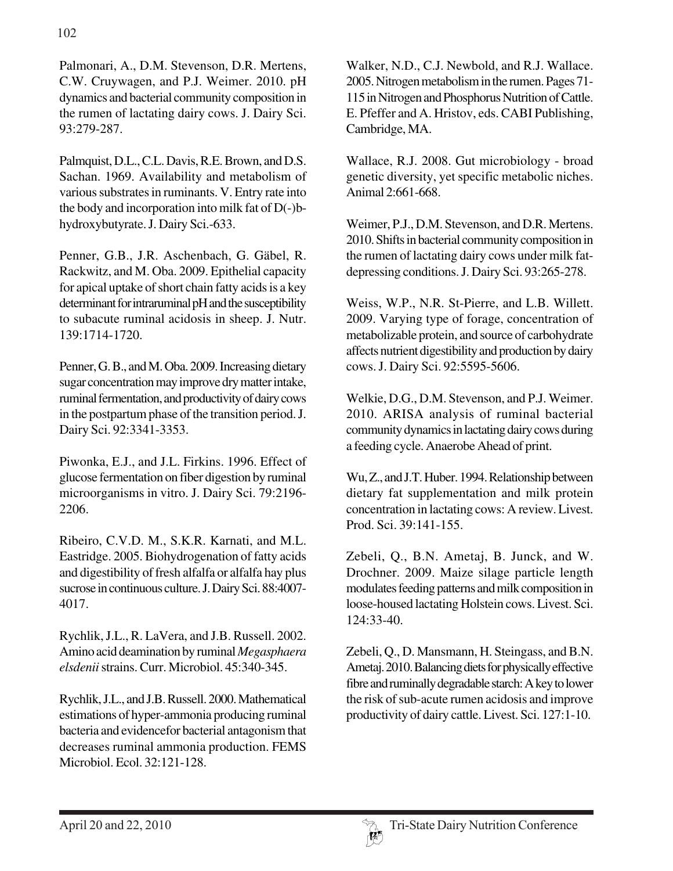Palmonari, A., D.M. Stevenson, D.R. Mertens, C.W. Cruywagen, and P.J. Weimer. 2010. pH dynamics and bacterial community composition in the rumen of lactating dairy cows. J. Dairy Sci. 93:279-287.

Palmquist, D.L., C.L. Davis, R.E. Brown, and D.S. Sachan. 1969. Availability and metabolism of various substrates in ruminants. V. Entry rate into the body and incorporation into milk fat of D(-)bhydroxybutyrate. J. Dairy Sci.-633.

Penner, G.B., J.R. Aschenbach, G. Gäbel, R. Rackwitz, and M. Oba. 2009. Epithelial capacity for apical uptake of short chain fatty acids is a key determinant for intraruminal pH and the susceptibility to subacute ruminal acidosis in sheep. J. Nutr. 139:1714-1720.

Penner, G. B., and M. Oba. 2009. Increasing dietary sugar concentration may improve dry matter intake, ruminal fermentation, and productivity of dairy cows in the postpartum phase of the transition period. J. Dairy Sci. 92:3341-3353.

Piwonka, E.J., and J.L. Firkins. 1996. Effect of glucose fermentation on fiber digestion by ruminal microorganisms in vitro. J. Dairy Sci. 79:2196- 2206.

Ribeiro, C.V.D. M., S.K.R. Karnati, and M.L. Eastridge. 2005. Biohydrogenation of fatty acids and digestibility of fresh alfalfa or alfalfa hay plus sucrose in continuous culture. J. Dairy Sci. 88:4007- 4017.

Rychlik, J.L., R. LaVera, and J.B. Russell. 2002. Amino acid deamination by ruminal *Megasphaera elsdenii* strains. Curr. Microbiol. 45:340-345.

Rychlik, J.L., and J.B. Russell. 2000. Mathematical estimations of hyper-ammonia producing ruminal bacteria and evidencefor bacterial antagonism that decreases ruminal ammonia production. FEMS Microbiol. Ecol. 32:121-128.

Walker, N.D., C.J. Newbold, and R.J. Wallace. 2005. Nitrogen metabolism in the rumen. Pages 71- 115 in Nitrogen and Phosphorus Nutrition of Cattle. E. Pfeffer and A. Hristov, eds. CABI Publishing, Cambridge, MA.

Wallace, R.J. 2008. Gut microbiology - broad genetic diversity, yet specific metabolic niches. Animal 2:661-668.

Weimer, P.J., D.M. Stevenson, and D.R. Mertens. 2010. Shifts in bacterial community composition in the rumen of lactating dairy cows under milk fatdepressing conditions. J. Dairy Sci. 93:265-278.

Weiss, W.P., N.R. St-Pierre, and L.B. Willett. 2009. Varying type of forage, concentration of metabolizable protein, and source of carbohydrate affects nutrient digestibility and production by dairy cows. J. Dairy Sci. 92:5595-5606.

Welkie, D.G., D.M. Stevenson, and P.J. Weimer. 2010. ARISA analysis of ruminal bacterial community dynamics in lactating dairy cows during a feeding cycle. Anaerobe Ahead of print.

Wu, Z., and J.T. Huber. 1994. Relationship between dietary fat supplementation and milk protein concentration in lactating cows: A review. Livest. Prod. Sci. 39:141-155.

Zebeli, Q., B.N. Ametaj, B. Junck, and W. Drochner. 2009. Maize silage particle length modulates feeding patterns and milk composition in loose-housed lactating Holstein cows. Livest. Sci. 124:33-40.

Zebeli, Q., D. Mansmann, H. Steingass, and B.N. Ametaj. 2010. Balancing diets for physically effective fibre and ruminally degradable starch: A key to lower the risk of sub-acute rumen acidosis and improve productivity of dairy cattle. Livest. Sci. 127:1-10.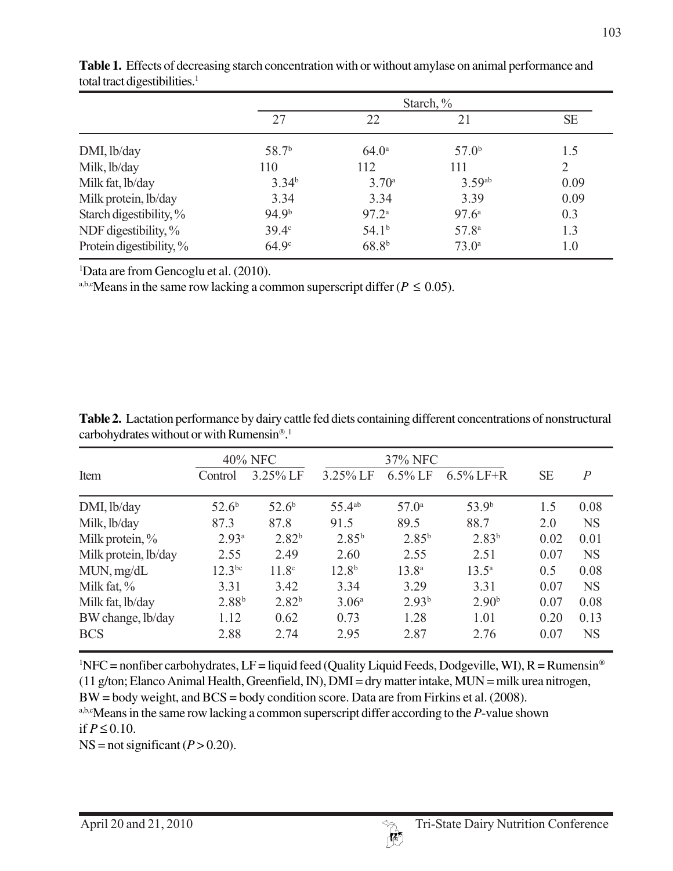|                          |                   |                   | Starch, %         |                |
|--------------------------|-------------------|-------------------|-------------------|----------------|
|                          | 27                | 22                | 21                | <b>SE</b>      |
| DMI, lb/day              | 58.7 <sup>b</sup> | $64.0^{\circ}$    | 57.0 <sup>b</sup> | 1.5            |
| Milk, lb/day             | 110               | 112               | 111               | $\overline{2}$ |
| Milk fat, lb/day         | $3.34^{b}$        | 3.70 <sup>a</sup> | $3.59^{ab}$       | 0.09           |
| Milk protein, lb/day     | 3.34              | 3.34              | 3.39              | 0.09           |
| Starch digestibility, %  | 94.9 <sup>b</sup> | 97.2 <sup>a</sup> | 97.6 <sup>a</sup> | 0.3            |
| NDF digestibility, %     | $39.4^\circ$      | $54.1^{b}$        | 57.8 <sup>a</sup> | 1.3            |
| Protein digestibility, % | 64.9 <sup>c</sup> | $68.8^{b}$        | $73.0^{\circ}$    | 1.0            |

**Table 1.** Effects of decreasing starch concentration with or without amylase on animal performance and total tract digestibilities.<sup>1</sup>

1 Data are from Gencoglu et al. (2010).

a,b,cMeans in the same row lacking a common superscript differ ( $P \leq 0.05$ ).

|                      |                   | 40% NFC           |                    | 37% NFC           |                   |           |                |
|----------------------|-------------------|-------------------|--------------------|-------------------|-------------------|-----------|----------------|
| Item                 | Control           | 3.25% LF          | 3.25% LF           | $6.5\%$ LF        | $6.5\%$ LF+R      | <b>SE</b> | $\overline{P}$ |
| DMI, lb/day          | $52.6^{b}$        | $52.6^{b}$        | 55.4 <sup>ab</sup> | 57.0 <sup>a</sup> | 53.9 <sup>b</sup> | 1.5       | 0.08           |
| Milk, lb/day         | 87.3              | 87.8              | 91.5               | 89.5              | 88.7              | 2.0       | <b>NS</b>      |
| Milk protein, %      | $2.93^{a}$        | $2.82^{b}$        | $2.85^{b}$         | $2.85^{b}$        | $2.83^{b}$        | 0.02      | 0.01           |
| Milk protein, lb/day | 2.55              | 2.49              | 2.60               | 2.55              | 2.51              | 0.07      | <b>NS</b>      |
| MUN, mg/dL           | $12.3^{bc}$       | 11.8 <sup>c</sup> | $12.8^{b}$         | $13.8^{a}$        | $13.5^{\circ}$    | 0.5       | 0.08           |
| Milk fat, $\%$       | 3.31              | 3.42              | 3.34               | 3.29              | 3.31              | 0.07      | <b>NS</b>      |
| Milk fat, lb/day     | 2.88 <sup>b</sup> | $2.82^{b}$        | 3.06 <sup>a</sup>  | $2.93^{b}$        | 2.90 <sup>b</sup> | 0.07      | 0.08           |
| BW change, lb/day    | 1.12              | 0.62              | 0.73               | 1.28              | 1.01              | 0.20      | 0.13           |
| <b>BCS</b>           | 2.88              | 2.74              | 2.95               | 2.87              | 2.76              | 0.07      | <b>NS</b>      |

**Table 2.** Lactation performance by dairy cattle fed diets containing different concentrations of nonstructural carbohydrates without or with Rumensin®. 1

 ${}^{1}$ NFC = nonfiber carbohydrates, LF = liquid feed (Quality Liquid Feeds, Dodgeville, WI), R = Rumensin® (11 g/ton; Elanco Animal Health, Greenfield, IN), DMI = dry matter intake, MUN = milk urea nitrogen, BW = body weight, and BCS = body condition score. Data are from Firkins et al. (2008). a,b,cMeans in the same row lacking a common superscript differ according to the *P*-value shown if  $P ≤ 0.10$ .

 $NS = not significant (P > 0.20).$ 

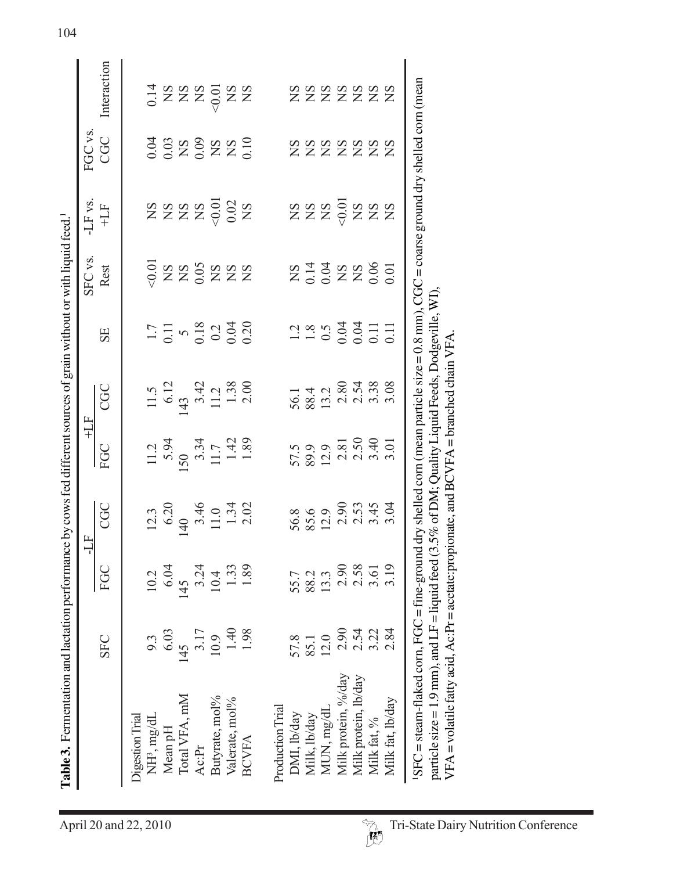|                                      | Table 3. Fermentation and lactation performance by cows fed different sources of grain without or with liquid feed. <sup>1</sup>                                                                                                                   |                                                                          |                                              |                                                                  |                                                                                           |                                                                                    |                                                                                  |                                  |                                                                                                                                                               |                                                  |             |
|--------------------------------------|----------------------------------------------------------------------------------------------------------------------------------------------------------------------------------------------------------------------------------------------------|--------------------------------------------------------------------------|----------------------------------------------|------------------------------------------------------------------|-------------------------------------------------------------------------------------------|------------------------------------------------------------------------------------|----------------------------------------------------------------------------------|----------------------------------|---------------------------------------------------------------------------------------------------------------------------------------------------------------|--------------------------------------------------|-------------|
| April 20 and 22, 2010                |                                                                                                                                                                                                                                                    | <b>SFC</b>                                                               | FGC                                          | CGC<br>-LF                                                       | HT+<br>FGC                                                                                | CGC                                                                                | SE                                                                               | SFC vs.<br>Rest                  | -LF vs.<br>$+11$                                                                                                                                              | FGC vs.<br>CGC                                   | Interaction |
|                                      | Digestion Trial                                                                                                                                                                                                                                    |                                                                          |                                              |                                                                  |                                                                                           |                                                                                    |                                                                                  |                                  |                                                                                                                                                               |                                                  |             |
|                                      | NH <sup>3</sup> , mg/dL                                                                                                                                                                                                                            |                                                                          | 10.2                                         |                                                                  |                                                                                           |                                                                                    |                                                                                  | (0.01)                           |                                                                                                                                                               | 0.04                                             | 0.14        |
|                                      | Mean pH                                                                                                                                                                                                                                            |                                                                          |                                              |                                                                  |                                                                                           |                                                                                    |                                                                                  |                                  |                                                                                                                                                               | $\begin{array}{c} 0.03 \\ \text{NS} \end{array}$ |             |
|                                      | Total VFA, mM                                                                                                                                                                                                                                      |                                                                          |                                              |                                                                  |                                                                                           |                                                                                    |                                                                                  |                                  |                                                                                                                                                               |                                                  |             |
|                                      | Ac:Pr                                                                                                                                                                                                                                              | 9.3<br>$6.03$<br>$145$<br>$3.17$<br>$1.40$<br>$1.40$<br>$1.40$<br>$1.40$ | $145$<br>145<br>3.24<br>3.24<br>1.33<br>1.33 | $12.3$<br>$6.20$<br>$140$<br>$3.46$<br>$1.0$<br>$1.34$<br>$1.34$ | $\begin{array}{c} 11.2 \\ 5.94 \\ 150 \\ 3.34 \\ 1.7 \\ 1.42 \\ 1.42 \\ 1.89 \end{array}$ | $\begin{array}{r} 11.5 \\ 6.12 \\ 143 \\ 3.42 \\ 11.2 \\ 1.38 \\ 1.38 \end{array}$ | $\frac{17}{0.11}$<br>$\frac{5}{0.18}$<br>$\frac{8}{0.20}$<br>$\frac{0.20}{0.20}$ | $ZZ$ $Z$ $3$ $5$ $Z$ $Z$ $Z$ $Z$ | $ZZZZ\frac{5}{6}$                                                                                                                                             | 0.09                                             |             |
|                                      | Butyrate, mol%                                                                                                                                                                                                                                     |                                                                          |                                              |                                                                  |                                                                                           |                                                                                    |                                                                                  |                                  |                                                                                                                                                               |                                                  |             |
|                                      | Valerate, mol%                                                                                                                                                                                                                                     |                                                                          |                                              |                                                                  |                                                                                           |                                                                                    |                                                                                  |                                  |                                                                                                                                                               | <b>SEX</b><br>SEX                                |             |
|                                      | <b>BCVFA</b>                                                                                                                                                                                                                                       |                                                                          |                                              |                                                                  |                                                                                           |                                                                                    |                                                                                  |                                  |                                                                                                                                                               |                                                  |             |
|                                      | Production Trial                                                                                                                                                                                                                                   |                                                                          |                                              |                                                                  |                                                                                           |                                                                                    |                                                                                  |                                  |                                                                                                                                                               |                                                  |             |
|                                      | DMI, lb/day                                                                                                                                                                                                                                        |                                                                          |                                              |                                                                  |                                                                                           |                                                                                    |                                                                                  |                                  |                                                                                                                                                               | $\sum$                                           |             |
|                                      | Milk, lb/day                                                                                                                                                                                                                                       | 57.8<br>85.1                                                             |                                              | 56.8<br>85.6<br>12.9                                             | 57.5<br>89.9<br>12.9                                                                      | 56.1<br>88.4                                                                       | $\frac{1}{2} \cdot \frac{8}{8}$                                                  | <b>SSSS</b><br>0.04<br>24<br>25  | $\begin{array}{c} \mathbf{Z} \mathbf{Z} \mathbf{Z} \mathbf{Z} \\ \mathbf{Z} \mathbf{Z} \mathbf{Z} \mathbf{Z} \\ \mathbf{Z} \mathbf{Z} \mathbf{Z} \end{array}$ | $\mathbf{S} \mathbf{N}$                          |             |
|                                      | MUN, mg/dL                                                                                                                                                                                                                                         | 12.0                                                                     |                                              |                                                                  |                                                                                           | 13.2                                                                               |                                                                                  |                                  |                                                                                                                                                               | $\mathbf{N} \mathbf{S}$                          |             |
|                                      | Milk protein, %/day                                                                                                                                                                                                                                | 2.90                                                                     |                                              | 2.90                                                             |                                                                                           |                                                                                    | 0.04                                                                             |                                  |                                                                                                                                                               | $_{\rm NS}$                                      |             |
|                                      | Milk protein, lb/day                                                                                                                                                                                                                               | 2.54                                                                     |                                              |                                                                  |                                                                                           |                                                                                    |                                                                                  |                                  |                                                                                                                                                               | $\mathop{\rm SZ}$                                |             |
| H,                                   | Milk fat, %                                                                                                                                                                                                                                        | 3.22                                                                     |                                              | 2.53<br>3.45<br>3.04                                             | $2.\overline{8}1$<br>$2.\overline{5}0$<br>$3.\overline{4}0$                               | 2.81<br>2.54<br>3.38<br>3.08                                                       | $0.04$<br>$0.11$<br>$0.11$                                                       | $_{0.06}^{NS}$                   |                                                                                                                                                               | $\mathbf{S} \mathbf{N}$                          |             |
|                                      | Milk fat, lb/day                                                                                                                                                                                                                                   | 2.84                                                                     | 55.7<br>88.3 3.8 36.19<br>2 3.9 3.19         |                                                                  | 3.01                                                                                      |                                                                                    |                                                                                  | 0.01                             | $\overline{N}S$                                                                                                                                               | N <sub>S</sub>                                   |             |
| Tri-State Dairy Nutrition Conference | ${}^{1}SFC$ = steam-flaked corn, FGC = fine-ground dry shelled corn (mean particle size = 0.8 mm), CGC = coarse ground dry shelled corn (mean<br>particle size = 1.9 mm), and LF = liquid feed (3.5% of DM; Quality Liquid Feeds, Dodgeville, WI), |                                                                          |                                              |                                                                  |                                                                                           |                                                                                    |                                                                                  |                                  |                                                                                                                                                               |                                                  |             |
|                                      | VFA = volatile fatty acid, Ac:Pr = acetate:propionate, and BCVFA = branched chain VFA                                                                                                                                                              |                                                                          |                                              |                                                                  |                                                                                           |                                                                                    |                                                                                  |                                  |                                                                                                                                                               |                                                  |             |
|                                      |                                                                                                                                                                                                                                                    |                                                                          |                                              |                                                                  |                                                                                           |                                                                                    |                                                                                  |                                  |                                                                                                                                                               |                                                  |             |
|                                      |                                                                                                                                                                                                                                                    |                                                                          |                                              |                                                                  |                                                                                           |                                                                                    |                                                                                  |                                  |                                                                                                                                                               |                                                  |             |
|                                      |                                                                                                                                                                                                                                                    |                                                                          |                                              |                                                                  |                                                                                           |                                                                                    |                                                                                  |                                  |                                                                                                                                                               |                                                  |             |
|                                      |                                                                                                                                                                                                                                                    |                                                                          |                                              |                                                                  |                                                                                           |                                                                                    |                                                                                  |                                  |                                                                                                                                                               |                                                  |             |
|                                      |                                                                                                                                                                                                                                                    |                                                                          |                                              |                                                                  |                                                                                           |                                                                                    |                                                                                  |                                  |                                                                                                                                                               |                                                  |             |

104